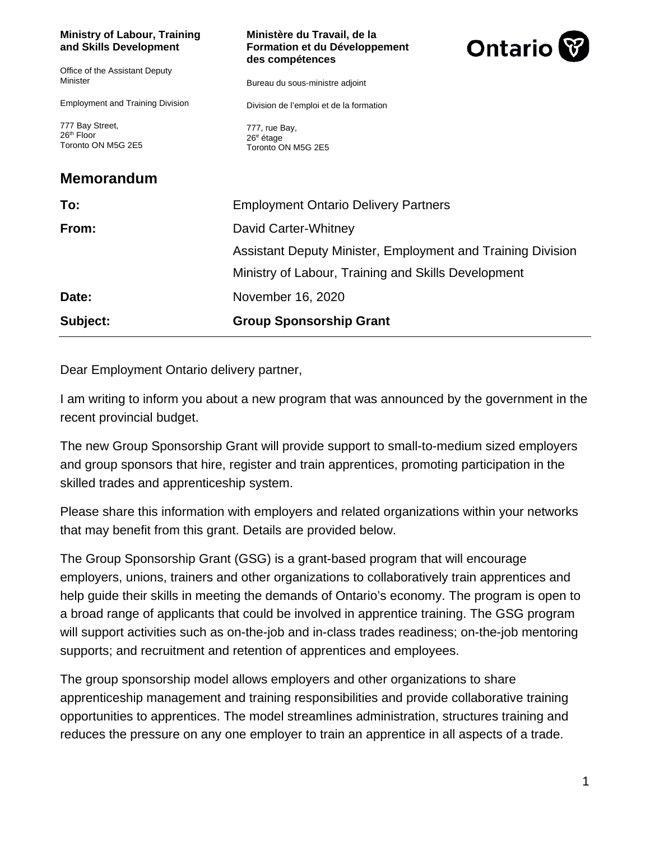| <b>Ministry of Labour, Training</b><br>and Skills Development   | Ministère du Travail, de la<br>Formation et du Développement<br>des compétences | Ontario <sup>W</sup> |
|-----------------------------------------------------------------|---------------------------------------------------------------------------------|----------------------|
| Office of the Assistant Deputy<br>Minister                      | Bureau du sous-ministre adjoint                                                 |                      |
| <b>Employment and Training Division</b>                         | Division de l'emploi et de la formation                                         |                      |
| 777 Bay Street,<br>26 <sup>th</sup> Floor<br>Toronto ON M5G 2E5 | 777, rue Bay,<br>26 <sup>e</sup> étage<br>Toronto ON M5G 2E5                    |                      |
| <b>Memorandum</b>                                               |                                                                                 |                      |
| To:                                                             | <b>Employment Ontario Delivery Partners</b>                                     |                      |
| From:                                                           | David Carter-Whitney                                                            |                      |
|                                                                 | Assistant Deputy Minister, Employment and Training Division                     |                      |
|                                                                 | Ministry of Labour, Training and Skills Development                             |                      |
| Date:                                                           | November 16, 2020                                                               |                      |
| Subject:                                                        | <b>Group Sponsorship Grant</b>                                                  |                      |

Dear Employment Ontario delivery partner,

I am writing to inform you about a new program that was announced by the government in the recent provincial budget.

The new Group Sponsorship Grant will provide support to small-to-medium sized employers and group sponsors that hire, register and train apprentices, promoting participation in the skilled trades and apprenticeship system.

Please share this information with employers and related organizations within your networks that may benefit from this grant. Details are provided below.

The Group Sponsorship Grant (GSG) is a grant-based program that will encourage employers, unions, trainers and other organizations to collaboratively train apprentices and help guide their skills in meeting the demands of Ontario's economy. The program is open to a broad range of applicants that could be involved in apprentice training. The GSG program will support activities such as on-the-job and in-class trades readiness; on-the-job mentoring supports; and recruitment and retention of apprentices and employees.

The group sponsorship model allows employers and other organizations to share apprenticeship management and training responsibilities and provide collaborative training opportunities to apprentices. The model streamlines administration, structures training and reduces the pressure on any one employer to train an apprentice in all aspects of a trade.